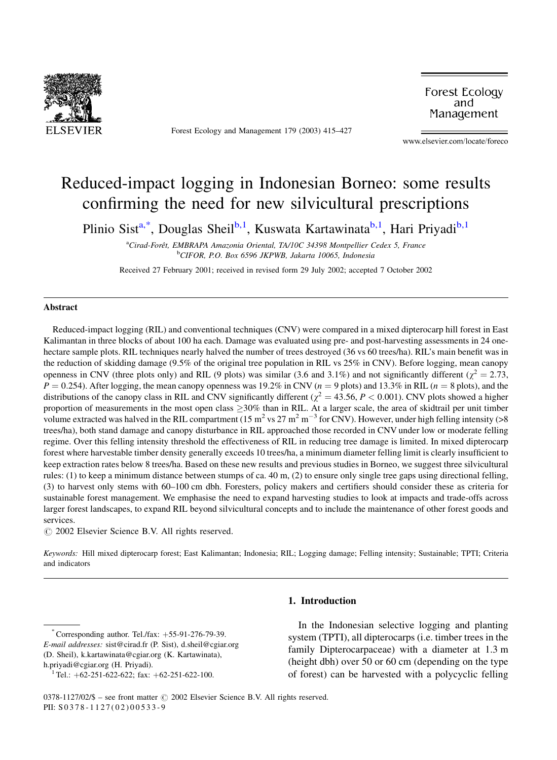

Forest Ecology and Management 179 (2003) 415–427

Forest Ecology and Management

www.elsevier.com/locate/foreco

# Reduced-impact logging in Indonesian Borneo: some results confirming the need for new silvicultural prescriptions

Plinio Sist<sup>a,\*</sup>, Douglas Sheil<sup>b,1</sup>, Kuswata Kartawinata<sup>b,1</sup>, Hari Priyadi<sup>b,1</sup>

<sup>a</sup>Cirad-Forêt, EMBRAPA Amazonia Oriental, TA/10C 34398 Montpellier Cedex 5, France b CIFOR, P.O. Box 6596 JKPWB, Jakarta 10065, Indonesia

Received 27 February 2001; received in revised form 29 July 2002; accepted 7 October 2002

#### **Abstract**

Reduced-impact logging (RIL) and conventional techniques (CNV) were compared in a mixed dipterocarp hill forest in East Kalimantan in three blocks of about 100 ha each. Damage was evaluated using pre- and post-harvesting assessments in 24 onehectare sample plots. RIL techniques nearly halved the number of trees destroyed (36 vs 60 trees/ha). RIL's main benefit was in the reduction of skidding damage (9.5% of the original tree population in RIL vs 25% in CNV). Before logging, mean canopy openness in CNV (three plots only) and RIL (9 plots) was similar (3.6 and 3.1%) and not significantly different ( $\chi^2 = 2.73$ ,  $P = 0.254$ . After logging, the mean canopy openness was 19.2% in CNV ( $n = 9$  plots) and 13.3% in RIL ( $n = 8$  plots), and the distributions of the canopy class in RIL and CNV significantly different ( $\chi^2 = 43.56$ ,  $P < 0.001$ ). CNV plots showed a higher proportion of measurements in the most open class  $\geq$ 30% than in RIL. At a larger scale, the area of skidtrail per unit timber volume extracted was halved in the RIL compartment (15 m<sup>2</sup> vs 27 m<sup>2</sup> m<sup>-3</sup> for CNV). However, under high felling intensity (>8 trees/ha), both stand damage and canopy disturbance in RIL approached those recorded in CNV under low or moderate felling regime. Over this felling intensity threshold the effectiveness of RIL in reducing tree damage is limited. In mixed dipterocarp forest where harvestable timber density generally exceeds 10 trees/ha, a minimum diameter felling limit is clearly insufficient to keep extraction rates below 8 trees/ha. Based on these new results and previous studies in Borneo, we suggest three silvicultural rules: (1) to keep a minimum distance between stumps of ca. 40 m, (2) to ensure only single tree gaps using directional felling, (3) to harvest only stems with 60–100 cm dbh. Foresters, policy makers and certifiers should consider these as criteria for sustainable forest management. We emphasise the need to expand harvesting studies to look at impacts and trade-offs across larger forest landscapes, to expand RIL beyond silvicultural concepts and to include the maintenance of other forest goods and services.

 $\circ$  2002 Elsevier Science B.V. All rights reserved.

Keywords: Hill mixed dipterocarp forest; East Kalimantan; Indonesia; RIL; Logging damage; Felling intensity; Sustainable; TPTI; Criteria and indicators

 $*$  Corresponding author. Tel./fax:  $+55-91-276-79-39$ . E-mail addresses: sist@cirad.fr (P. Sist), d.sheil@cgiar.org (D. Sheil), k.kartawinata@cgiar.org (K. Kartawinata), h.priyadi@cgiar.org (H. Priyadi).

# 1. Introduction

In the Indonesian selective logging and planting system (TPTI), all dipterocarps (i.e. timber trees in the family Dipterocarpaceae) with a diameter at 1.3 m (height dbh) over 50 or 60 cm (depending on the type of forest) can be harvested with a polycyclic felling

Tel.: +62-251-622-622; fax: +62-251-622-100.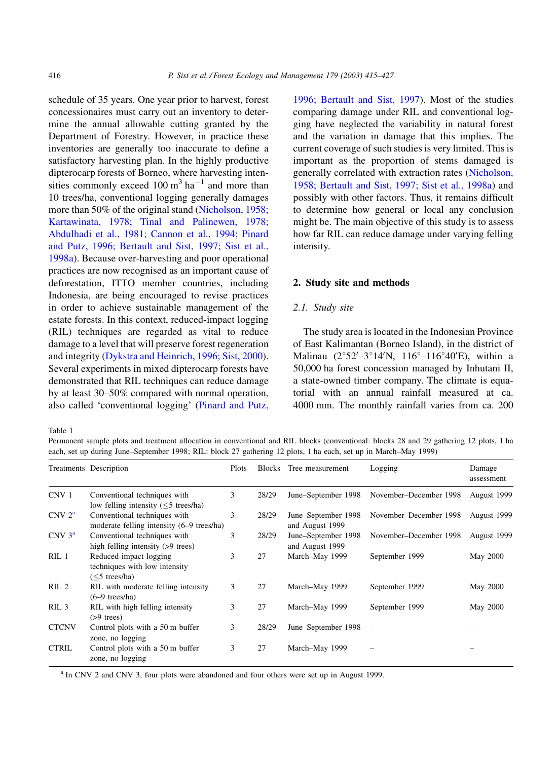<span id="page-1-0"></span>schedule of 35 years. One year prior to harvest, forest concessionaires must carry out an inventory to determine the annual allowable cutting granted by the Department of Forestry. However, in practice these inventories are generally too inaccurate to define a satisfactory harvesting plan. In the highly productive dipterocarp forests of Borneo, where harvesting intensities commonly exceed 100  $\text{m}^3$  ha<sup>-1</sup> and more than 10 trees/ha, conventional logging generally damages more than 50% of the original stand [\(Nicholson, 1958;](#page-12-0) [Kartawinata, 1978; Tinal and Palinewen, 1978;](#page-12-0) [Abdulhadi et al., 1981; Cannon et al., 1994; Pinard](#page-12-0) [and Putz, 1996; Bertault and Sist, 1997; Sist et al.,](#page-12-0) [1998a\)](#page-12-0). Because over-harvesting and poor operational practices are now recognised as an important cause of deforestation, ITTO member countries, including Indonesia, are being encouraged to revise practices in order to achieve sustainable management of the estate forests. In this context, reduced-impact logging (RIL) techniques are regarded as vital to reduce damage to a level that will preserve forest regeneration and integrity [\(Dykstra and Heinrich, 1996; Sist, 2000\)](#page-11-0). Several experiments in mixed dipterocarp forests have demonstrated that RIL techniques can reduce damage by at least 30–50% compared with normal operation, also called 'conventional logging' [\(Pinard and Putz,](#page-12-0) [1996; Bertault and Sist, 1997](#page-12-0)). Most of the studies comparing damage under RIL and conventional logging have neglected the variability in natural forest and the variation in damage that this implies. The current coverage of such studies is very limited. This is important as the proportion of stems damaged is generally correlated with extraction rates [\(Nicholson,](#page-12-0) [1958; Bertault and Sist, 1997; Sist et al., 1998a\)](#page-12-0) and possibly with other factors. Thus, it remains difficult to determine how general or local any conclusion might be. The main objective of this study is to assess how far RIL can reduce damage under varying felling intensity.

#### 2. Study site and methods

# 2.1. Study site

The study area is located in the Indonesian Province of East Kalimantan (Borneo Island), in the district of Malinau  $(2^{\circ}52' - 3^{\circ}14'N, 116^{\circ} - 116^{\circ}40'E)$ , within a 50,000 ha forest concession managed by Inhutani II, a state-owned timber company. The climate is equatorial with an annual rainfall measured at ca. 4000 mm. The monthly rainfall varies from ca. 200

Table 1

Permanent sample plots and treatment allocation in conventional and RIL blocks (conventional: blocks 28 and 29 gathering 12 plots, 1 ha each, set up during June–September 1998; RIL: block 27 gathering 12 plots, 1 ha each, set up in March–May 1999)

|                               | Treatments Description                                                     | Plots | <b>Blocks</b> | Tree measurement                       | Logging                | Damage<br>assessment |
|-------------------------------|----------------------------------------------------------------------------|-------|---------------|----------------------------------------|------------------------|----------------------|
| CNV <sub>1</sub>              | Conventional techniques with<br>low felling intensity $(<5$ trees/ha)      | 3     | 28/29         | June–September 1998                    | November-December 1998 | August 1999          |
| $CNV$ $2^a$                   | Conventional techniques with<br>moderate felling intensity (6–9 trees/ha)  | 3     | 28/29         | June–September 1998<br>and August 1999 | November-December 1998 | August 1999          |
| CNV <sub>3</sub> <sup>a</sup> | Conventional techniques with<br>high felling intensity (>9 trees)          | 3     | 28/29         | June-September 1998<br>and August 1999 | November-December 1998 | August 1999          |
| $RIL$ 1                       | Reduced-impact logging<br>techniques with low intensity<br>$(<5$ trees/ha) | 3     | 27            | March-May 1999                         | September 1999         | May 2000             |
| $RIL$ 2                       | RIL with moderate felling intensity<br>$(6-9$ trees/ha)                    | 3     | 27            | March-May 1999                         | September 1999         | May 2000             |
| RIL <sub>3</sub>              | RIL with high felling intensity<br>$(>9$ trees)                            | 3     | 27            | March-May 1999                         | September 1999         | May 2000             |
| <b>CTCNV</b>                  | Control plots with a 50 m buffer<br>zone, no logging                       | 3     | 28/29         | June–September 1998                    |                        |                      |
| <b>CTRIL</b>                  | Control plots with a 50 m buffer<br>zone, no logging                       | 3     | 27            | March-May 1999                         |                        |                      |

<sup>a</sup> In CNV 2 and CNV 3, four plots were abandoned and four others were set up in August 1999.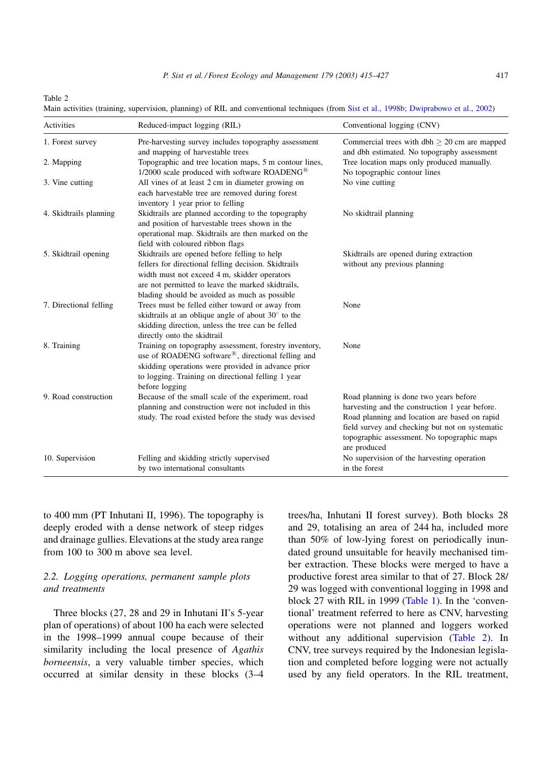<span id="page-2-0"></span>Main activities (training, supervision, planning) of RIL and conventional techniques (from [Sist et al., 1998b; Dwiprabowo et al., 2002\)](#page-12-0)

| Activities             | Reduced-impact logging (RIL)                                                                                                                                                                                                                               | Conventional logging (CNV)                                                                                                                                                                                                                                  |
|------------------------|------------------------------------------------------------------------------------------------------------------------------------------------------------------------------------------------------------------------------------------------------------|-------------------------------------------------------------------------------------------------------------------------------------------------------------------------------------------------------------------------------------------------------------|
| 1. Forest survey       | Pre-harvesting survey includes topography assessment<br>and mapping of harvestable trees                                                                                                                                                                   | Commercial trees with dbh $\geq$ 20 cm are mapped<br>and dbh estimated. No topography assessment                                                                                                                                                            |
| 2. Mapping             | Topographic and tree location maps, 5 m contour lines,<br>$1/2000$ scale produced with software ROADENG <sup>®</sup>                                                                                                                                       | Tree location maps only produced manually.<br>No topographic contour lines                                                                                                                                                                                  |
| 3. Vine cutting        | All vines of at least 2 cm in diameter growing on<br>each harvestable tree are removed during forest<br>inventory 1 year prior to felling                                                                                                                  | No vine cutting                                                                                                                                                                                                                                             |
| 4. Skidtrails planning | Skidtrails are planned according to the topography<br>and position of harvestable trees shown in the<br>operational map. Skidtrails are then marked on the<br>field with coloured ribbon flags                                                             | No skidtrail planning                                                                                                                                                                                                                                       |
| 5. Skidtrail opening   | Skidtrails are opened before felling to help<br>fellers for directional felling decision. Skidtrails<br>width must not exceed 4 m, skidder operators<br>are not permitted to leave the marked skidtrails,<br>blading should be avoided as much as possible | Skidtrails are opened during extraction<br>without any previous planning                                                                                                                                                                                    |
| 7. Directional felling | Trees must be felled either toward or away from<br>skidtrails at an oblique angle of about $30^{\circ}$ to the<br>skidding direction, unless the tree can be felled<br>directly onto the skidtrail                                                         | None                                                                                                                                                                                                                                                        |
| 8. Training            | Training on topography assessment, forestry inventory,<br>use of ROADENG software <sup>®</sup> , directional felling and<br>skidding operations were provided in advance prior<br>to logging. Training on directional felling 1 year<br>before logging     | None                                                                                                                                                                                                                                                        |
| 9. Road construction   | Because of the small scale of the experiment, road<br>planning and construction were not included in this<br>study. The road existed before the study was devised                                                                                          | Road planning is done two years before<br>harvesting and the construction 1 year before.<br>Road planning and location are based on rapid<br>field survey and checking but not on systematic<br>topographic assessment. No topographic maps<br>are produced |
| 10. Supervision        | Felling and skidding strictly supervised<br>by two international consultants                                                                                                                                                                               | No supervision of the harvesting operation<br>in the forest                                                                                                                                                                                                 |

to 400 mm (PT Inhutani II, 1996). The topography is deeply eroded with a dense network of steep ridges and drainage gullies. Elevations at the study area range from 100 to 300 m above sea level.

# 2.2. Logging operations, permanent sample plots and treatments

Three blocks (27, 28 and 29 in Inhutani II's 5-year plan of operations) of about 100 ha each were selected in the 1998–1999 annual coupe because of their similarity including the local presence of Agathis borneensis, a very valuable timber species, which occurred at similar density in these blocks (3–4

trees/ha, Inhutani II forest survey). Both blocks 28 and 29, totalising an area of 244 ha, included more than 50% of low-lying forest on periodically inundated ground unsuitable for heavily mechanised timber extraction. These blocks were merged to have a productive forest area similar to that of 27. Block 28/ 29 was logged with conventional logging in 1998 and block 27 with RIL in 1999 [\(Table 1\)](#page-1-0). In the 'conventional' treatment referred to here as CNV, harvesting operations were not planned and loggers worked without any additional supervision (Table 2). In CNV, tree surveys required by the Indonesian legislation and completed before logging were not actually used by any field operators. In the RIL treatment,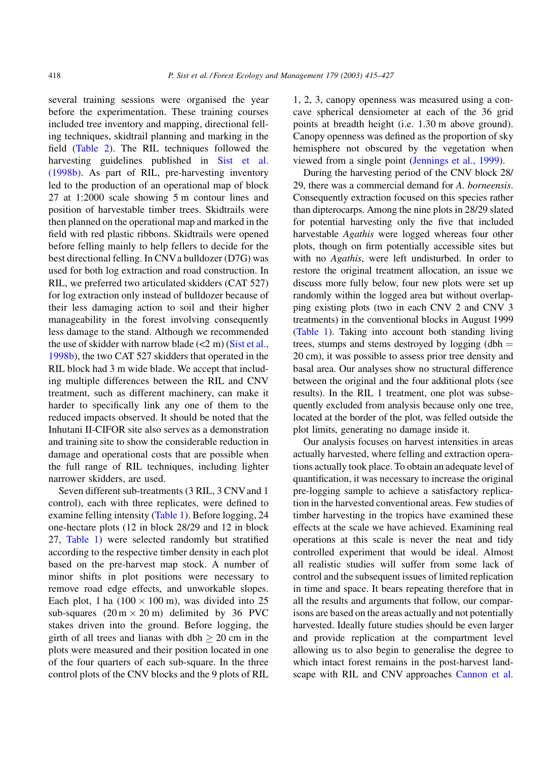several training sessions were organised the year before the experimentation. These training courses included tree inventory and mapping, directional felling techniques, skidtrail planning and marking in the field [\(Table 2\)](#page-2-0). The RIL techniques followed the harvesting guidelines published in [Sist et al.](#page-12-0) [\(1998b\)](#page-12-0). As part of RIL, pre-harvesting inventory led to the production of an operational map of block 27 at 1:2000 scale showing 5 m contour lines and position of harvestable timber trees. Skidtrails were then planned on the operational map and marked in the field with red plastic ribbons. Skidtrails were opened before felling mainly to help fellers to decide for the best directional felling. In CNVa bulldozer (D7G) was used for both log extraction and road construction. In RIL, we preferred two articulated skidders (CAT 527) for log extraction only instead of bulldozer because of their less damaging action to soil and their higher manageability in the forest involving consequently less damage to the stand. Although we recommended the use of skidder with narrow blade  $(< 2 \text{ m})$  [\(Sist et al.,](#page-12-0) [1998b](#page-12-0)), the two CAT 527 skidders that operated in the RIL block had 3 m wide blade. We accept that including multiple differences between the RIL and CNV treatment, such as different machinery, can make it harder to specifically link any one of them to the reduced impacts observed. It should be noted that the Inhutani II-CIFOR site also serves as a demonstration and training site to show the considerable reduction in damage and operational costs that are possible when the full range of RIL techniques, including lighter narrower skidders, are used.

Seven different sub-treatments (3 RIL, 3 CNVand 1 control), each with three replicates, were defined to examine felling intensity [\(Table 1\)](#page-1-0). Before logging, 24 one-hectare plots (12 in block 28/29 and 12 in block 27, [Table 1\)](#page-1-0) were selected randomly but stratified according to the respective timber density in each plot based on the pre-harvest map stock. A number of minor shifts in plot positions were necessary to remove road edge effects, and unworkable slopes. Each plot, 1 ha  $(100 \times 100 \text{ m})$ , was divided into 25 sub-squares  $(20 \text{ m} \times 20 \text{ m})$  delimited by 36 PVC stakes driven into the ground. Before logging, the girth of all trees and lianas with  $dbh \geq 20$  cm in the plots were measured and their position located in one of the four quarters of each sub-square. In the three control plots of the CNV blocks and the 9 plots of RIL 1, 2, 3, canopy openness was measured using a concave spherical densiometer at each of the 36 grid points at breadth height (i.e. 1.30 m above ground). Canopy openness was defined as the proportion of sky hemisphere not obscured by the vegetation when viewed from a single point ([Jennings et al., 1999](#page-12-0)).

During the harvesting period of the CNV block 28/ 29, there was a commercial demand for A. borneensis. Consequently extraction focused on this species rather than dipterocarps. Among the nine plots in 28/29 slated for potential harvesting only the five that included harvestable Agathis were logged whereas four other plots, though on firm potentially accessible sites but with no Agathis, were left undisturbed. In order to restore the original treatment allocation, an issue we discuss more fully below, four new plots were set up randomly within the logged area but without overlapping existing plots (two in each CNV 2 and CNV 3 treatments) in the conventional blocks in August 1999 ([Table 1](#page-1-0)). Taking into account both standing living trees, stumps and stems destroyed by logging (dbh  $=$ 20 cm), it was possible to assess prior tree density and basal area. Our analyses show no structural difference between the original and the four additional plots (see results). In the RIL 1 treatment, one plot was subsequently excluded from analysis because only one tree, located at the border of the plot, was felled outside the plot limits, generating no damage inside it.

Our analysis focuses on harvest intensities in areas actually harvested, where felling and extraction operations actually took place. To obtain an adequate level of quantification, it was necessary to increase the original pre-logging sample to achieve a satisfactory replication in the harvested conventional areas. Few studies of timber harvesting in the tropics have examined these effects at the scale we have achieved. Examining real operations at this scale is never the neat and tidy controlled experiment that would be ideal. Almost all realistic studies will suffer from some lack of control and the subsequent issues of limited replication in time and space. It bears repeating therefore that in all the results and arguments that follow, our comparisons are based on the areas actually and not potentially harvested. Ideally future studies should be even larger and provide replication at the compartment level allowing us to also begin to generalise the degree to which intact forest remains in the post-harvest landscape with RIL and CNV approaches [Cannon et al.](#page-11-0)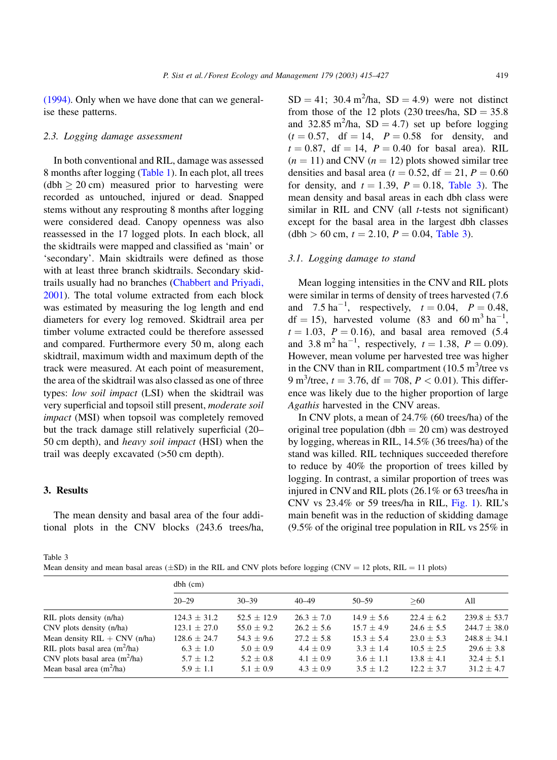[\(1994\).](#page-11-0) Only when we have done that can we generalise these patterns.

#### 2.3. Logging damage assessment

In both conventional and RIL, damage was assessed 8 months after logging ([Table 1](#page-1-0)). In each plot, all trees  $(dbh \ge 20 \text{ cm})$  measured prior to harvesting were recorded as untouched, injured or dead. Snapped stems without any resprouting 8 months after logging were considered dead. Canopy openness was also reassessed in the 17 logged plots. In each block, all the skidtrails were mapped and classified as 'main' or 'secondary'. Main skidtrails were defined as those with at least three branch skidtrails. Secondary skidtrails usually had no branches [\(Chabbert and Priyadi,](#page-11-0) [2001](#page-11-0)). The total volume extracted from each block was estimated by measuring the log length and end diameters for every log removed. Skidtrail area per timber volume extracted could be therefore assessed and compared. Furthermore every 50 m, along each skidtrail, maximum width and maximum depth of the track were measured. At each point of measurement, the area of the skidtrail was also classed as one of three types: low soil impact (LSI) when the skidtrail was very superficial and topsoil still present, moderate soil impact (MSI) when topsoil was completely removed but the track damage still relatively superficial (20– 50 cm depth), and heavy soil impact (HSI) when the trail was deeply excavated (>50 cm depth).

## 3. Results

The mean density and basal area of the four additional plots in the CNV blocks (243.6 trees/ha,

 $\mathbf{d}$  defined by

 $SD = 41$ ; 30.4 m<sup>2</sup>/ha,  $SD = 4.9$ ) were not distinct from those of the 12 plots (230 trees/ha,  $SD = 35.8$ ) and 32.85 m<sup>2</sup>/ha, SD = 4.7) set up before logging  $(t = 0.57, df = 14, P = 0.58$  for density, and  $t = 0.87$ , df = 14,  $P = 0.40$  for basal area). RIL  $(n = 11)$  and CNV  $(n = 12)$  plots showed similar tree densities and basal area ( $t = 0.52$ , df = 21, P = 0.60 for density, and  $t = 1.39$ ,  $P = 0.18$ , Table 3). The mean density and basal areas in each dbh class were similar in RIL and CNV (all  $t$ -tests not significant) except for the basal area in the largest dbh classes  $(dbh > 60$  cm,  $t = 2.10$ ,  $P = 0.04$ , Table 3).

## 3.1. Logging damage to stand

Mean logging intensities in the CNV and RIL plots were similar in terms of density of trees harvested (7.6 and 7.5 ha<sup>-1</sup>, respectively,  $t = 0.04$ ,  $P = 0.48$ ,  $df = 15$ ), harvested volume (83 and 60 m<sup>3</sup> ha<sup>-1</sup>,  $t = 1.03$ ,  $P = 0.16$ ), and basal area removed (5.4) and 3.8 m<sup>2</sup> ha<sup>-1</sup>, respectively,  $t = 1.38$ ,  $P = 0.09$ ). However, mean volume per harvested tree was higher in the CNV than in RIL compartment  $(10.5 \text{ m}^3/\text{tree vs}$ 9 m<sup>3</sup>/tree,  $t = 3.76$ , df = 708,  $P < 0.01$ ). This difference was likely due to the higher proportion of large Agathis harvested in the CNV areas.

In CNV plots, a mean of 24.7% (60 trees/ha) of the original tree population (dbh  $= 20$  cm) was destroyed by logging, whereas in RIL, 14.5% (36 trees/ha) of the stand was killed. RIL techniques succeeded therefore to reduce by 40% the proportion of trees killed by logging. In contrast, a similar proportion of trees was injured in CNV and RIL plots (26.1% or 63 trees/ha in CNV vs 23.4% or 59 trees/ha in RIL, [Fig. 1\)](#page-5-0). RIL's main benefit was in the reduction of skidding damage (9.5% of the original tree population in RIL vs 25% in

Table 3

Mean density and mean basal areas ( $\pm$ SD) in the RIL and CNV plots before logging (CNV = 12 plots, RIL = 11 plots)

|                                      | dbh (cm)         |                 |                |                |                |                  |  |  |
|--------------------------------------|------------------|-----------------|----------------|----------------|----------------|------------------|--|--|
|                                      | $20 - 29$        | $30 - 39$       | $40 - 49$      | $50 - 59$      | >60            | All              |  |  |
| RIL plots density (n/ha)             | $124.3 \pm 31.2$ | $52.5 \pm 12.9$ | $26.3 \pm 7.0$ | $14.9 \pm 5.6$ | $22.4 \pm 6.2$ | $239.8 \pm 53.7$ |  |  |
| CNV plots density (n/ha)             | $123.1 \pm 27.0$ | $55.0 \pm 9.2$  | $26.2 \pm 5.6$ | $15.7 \pm 4.9$ | $24.6 \pm 5.5$ | $244.7 \pm 38.0$ |  |  |
| Mean density $RIL + CNV$ (n/ha)      | $128.6 \pm 24.7$ | $54.3 \pm 9.6$  | $27.2 \pm 5.8$ | $15.3 \pm 5.4$ | $23.0 \pm 5.3$ | $248.8 \pm 34.1$ |  |  |
| RIL plots basal area $(m^2/ha)$      | $6.3 \pm 1.0$    | $5.0 \pm 0.9$   | $4.4 \pm 0.9$  | $3.3 \pm 1.4$  | $10.5 \pm 2.5$ | $29.6 \pm 3.8$   |  |  |
| CNV plots basal area $(m^2/ha)$      | $5.7 \pm 1.2$    | $5.2 \pm 0.8$   | $4.1 \pm 0.9$  | $3.6 \pm 1.1$  | $13.8 \pm 4.1$ | $32.4 \pm 5.1$   |  |  |
| Mean basal area (m <sup>2</sup> /ha) | $5.9 \pm 1.1$    | $5.1 \pm 0.9$   | $4.3 \pm 0.9$  | $3.5 \pm 1.2$  | $12.2 \pm 3.7$ | $31.2 \pm 4.7$   |  |  |
|                                      |                  |                 |                |                |                |                  |  |  |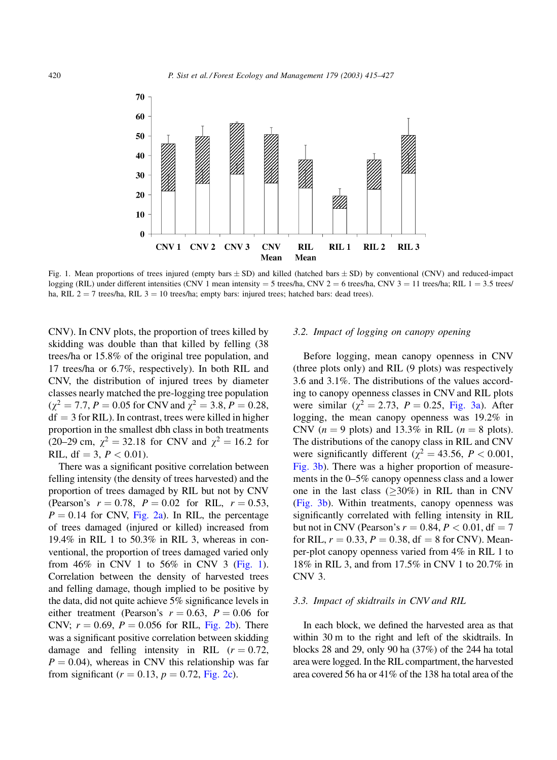<span id="page-5-0"></span>

Fig. 1. Mean proportions of trees injured (empty bars  $\pm$  SD) and killed (hatched bars  $\pm$  SD) by conventional (CNV) and reduced-impact logging (RIL) under different intensities (CNV 1 mean intensity = 5 trees/ha, CNV 2 = 6 trees/ha, CNV 3 = 11 trees/ha; RIL 1 = 3.5 trees/ ha, RIL  $2 = 7$  trees/ha, RIL  $3 = 10$  trees/ha; empty bars: injured trees; hatched bars: dead trees).

CNV). In CNV plots, the proportion of trees killed by skidding was double than that killed by felling (38 trees/ha or 15.8% of the original tree population, and 17 trees/ha or 6.7%, respectively). In both RIL and CNV, the distribution of injured trees by diameter classes nearly matched the pre-logging tree population  $(\chi^2 = 7.7, P = 0.05$  for CNV and  $\chi^2 = 3.8, P = 0.28$ ,  $df = 3$  for RIL). In contrast, trees were killed in higher proportion in the smallest dbh class in both treatments (20–29 cm,  $\chi^2 = 32.18$  for CNV and  $\chi^2 = 16.2$  for RIL, df = 3,  $P < 0.01$ ).

There was a significant positive correlation between felling intensity (the density of trees harvested) and the proportion of trees damaged by RIL but not by CNV (Pearson's  $r = 0.78$ ,  $P = 0.02$  for RIL,  $r = 0.53$ ,  $P = 0.14$  for CNV, [Fig. 2a](#page-6-0)). In RIL, the percentage of trees damaged (injured or killed) increased from 19.4% in RIL 1 to 50.3% in RIL 3, whereas in conventional, the proportion of trees damaged varied only from 46% in CNV 1 to 56% in CNV 3 (Fig. 1). Correlation between the density of harvested trees and felling damage, though implied to be positive by the data, did not quite achieve 5% significance levels in either treatment (Pearson's  $r = 0.63$ ,  $P = 0.06$  for CNV;  $r = 0.69$ ,  $P = 0.056$  for RIL, [Fig. 2b\)](#page-6-0). There was a significant positive correlation between skidding damage and felling intensity in RIL  $(r = 0.72)$ ,  $P = 0.04$ ), whereas in CNV this relationship was far from significant ( $r = 0.13$ ,  $p = 0.72$ , [Fig. 2c](#page-6-0)).

## 3.2. Impact of logging on canopy opening

Before logging, mean canopy openness in CNV (three plots only) and RIL (9 plots) was respectively 3.6 and 3.1%. The distributions of the values according to canopy openness classes in CNV and RIL plots were similar ( $\chi^2 = 2.73$ ,  $P = 0.25$ , [Fig. 3a\)](#page-7-0). After logging, the mean canopy openness was 19.2% in CNV ( $n = 9$  plots) and 13.3% in RIL ( $n = 8$  plots). The distributions of the canopy class in RIL and CNV were significantly different ( $\chi^2 = 43.56$ ,  $P < 0.001$ , [Fig. 3b\)](#page-7-0). There was a higher proportion of measurements in the 0–5% canopy openness class and a lower one in the last class  $(\geq 30\%)$  in RIL than in CNV ([Fig. 3b](#page-7-0)). Within treatments, canopy openness was significantly correlated with felling intensity in RIL but not in CNV (Pearson's  $r = 0.84, P < 0.01, df = 7$ for RIL,  $r = 0.33$ ,  $P = 0.38$ , df = 8 for CNV). Meanper-plot canopy openness varied from 4% in RIL 1 to 18% in RIL 3, and from 17.5% in CNV 1 to 20.7% in CNV 3.

### 3.3. Impact of skidtrails in CNV and RIL

In each block, we defined the harvested area as that within 30 m to the right and left of the skidtrails. In blocks 28 and 29, only 90 ha (37%) of the 244 ha total area were logged. In the RIL compartment, the harvested area covered 56 ha or 41% of the 138 ha total area of the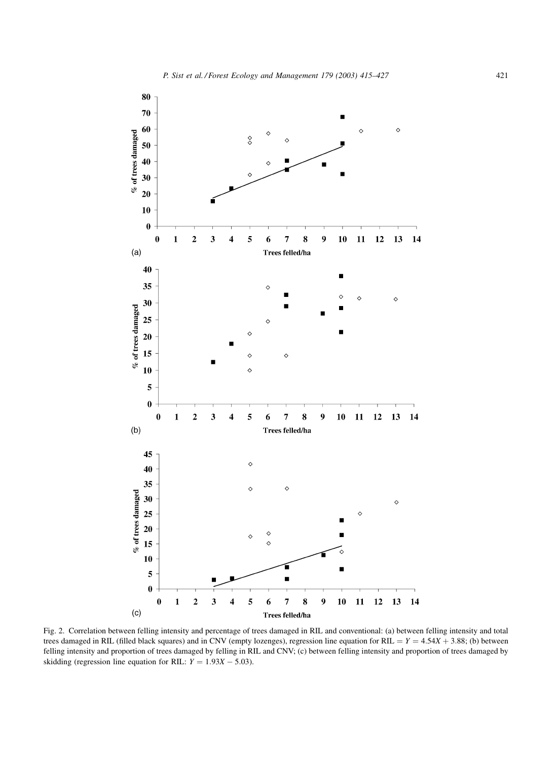<span id="page-6-0"></span>

Fig. 2. Correlation between felling intensity and percentage of trees damaged in RIL and conventional: (a) between felling intensity and total trees damaged in RIL (filled black squares) and in CNV (empty lozenges), regression line equation for RIL =  $Y = 4.54X + 3.88$ ; (b) between felling intensity and proportion of trees damaged by felling in RIL and CNV; (c) between felling intensity and proportion of trees damaged by skidding (regression line equation for RIL:  $Y = 1.93X - 5.03$ ).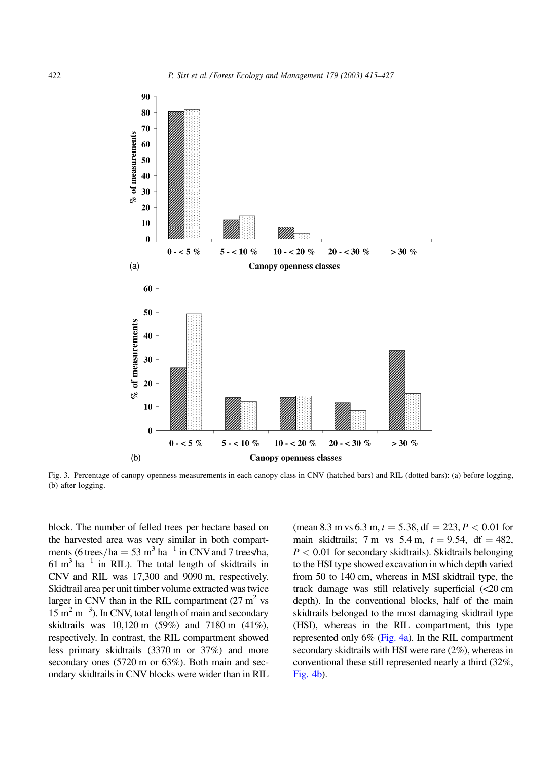<span id="page-7-0"></span>

Fig. 3. Percentage of canopy openness measurements in each canopy class in CNV (hatched bars) and RIL (dotted bars): (a) before logging, (b) after logging.

block. The number of felled trees per hectare based on the harvested area was very similar in both compartments (6 trees/ha = 53 m<sup>3</sup> ha<sup>-1</sup> in CNV and 7 trees/ha,  $61 \text{ m}^3 \text{ ha}^{-1}$  in RIL). The total length of skidtrails in CNV and RIL was 17,300 and 9090 m, respectively. Skidtrail area per unit timber volume extracted was twice larger in CNV than in the RIL compartment  $(27 \text{ m}^2 \text{ vs } 200 \text{ m})$  $15 \text{ m}^2 \text{ m}^{-3}$ ). In CNV, total length of main and secondary skidtrails was 10,120 m (59%) and 7180 m (41%), respectively. In contrast, the RIL compartment showed less primary skidtrails (3370 m or 37%) and more secondary ones (5720 m or 63%). Both main and secondary skidtrails in CNV blocks were wider than in RIL (mean 8.3 m vs 6.3 m,  $t = 5.38$ , df = 223, P < 0.01 for main skidtrails; 7 m vs 5.4 m,  $t = 9.54$ , df  $= 482$ ,  $P < 0.01$  for secondary skidtrails). Skidtrails belonging to the HSI type showed excavation in which depth varied from 50 to 140 cm, whereas in MSI skidtrail type, the track damage was still relatively superficial (<20 cm depth). In the conventional blocks, half of the main skidtrails belonged to the most damaging skidtrail type (HSI), whereas in the RIL compartment, this type represented only 6% [\(Fig. 4a\)](#page-8-0). In the RIL compartment secondary skidtrails with HSI were rare (2%), whereas in conventional these still represented nearly a third (32%, [Fig. 4b\)](#page-8-0).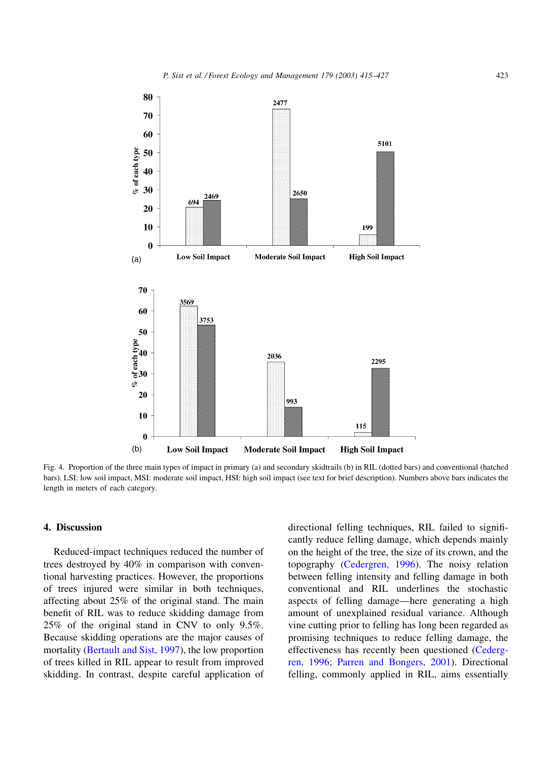<span id="page-8-0"></span>

Fig. 4. Proportion of the three main types of impact in primary (a) and secondary skidtrails (b) in RIL (dotted bars) and conventional (hatched bars). LSI: low soil impact, MSI: moderate soil impact, HSI: high soil impact (see text for brief description). Numbers above bars indicates the length in meters of each category.

## 4. Discussion

Reduced-impact techniques reduced the number of trees destroyed by 40% in comparison with conventional harvesting practices. However, the proportions of trees injured were similar in both techniques, affecting about 25% of the original stand. The main benefit of RIL was to reduce skidding damage from 25% of the original stand in CNV to only 9.5%. Because skidding operations are the major causes of mortality ([Bertault and Sist, 1997\)](#page-11-0), the low proportion of trees killed in RIL appear to result from improved skidding. In contrast, despite careful application of directional felling techniques, RIL failed to significantly reduce felling damage, which depends mainly on the height of the tree, the size of its crown, and the topography [\(Cedergren, 1996\)](#page-11-0). The noisy relation between felling intensity and felling damage in both conventional and RIL underlines the stochastic aspects of felling damage—here generating a high amount of unexplained residual variance. Although vine cutting prior to felling has long been regarded as promising techniques to reduce felling damage, the effectiveness has recently been questioned ([Cederg](#page-11-0)[ren, 1996; Parren and Bongers, 2001\)](#page-11-0). Directional felling, commonly applied in RIL, aims essentially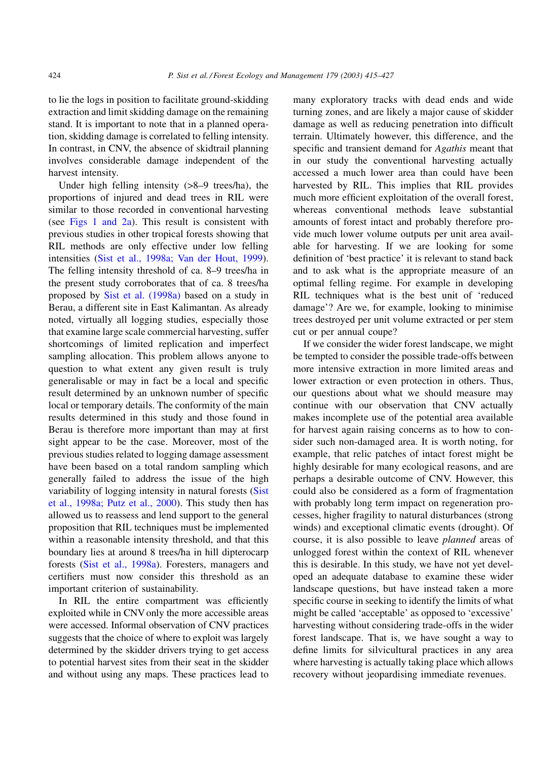to lie the logs in position to facilitate ground-skidding extraction and limit skidding damage on the remaining stand. It is important to note that in a planned operation, skidding damage is correlated to felling intensity. In contrast, in CNV, the absence of skidtrail planning involves considerable damage independent of the harvest intensity.

Under high felling intensity (>8–9 trees/ha), the proportions of injured and dead trees in RIL were similar to those recorded in conventional harvesting (see [Figs 1 and 2a\)](#page-5-0). This result is consistent with previous studies in other tropical forests showing that RIL methods are only effective under low felling intensities ([Sist et al., 1998a; Van der Hout, 1999\)](#page-12-0). The felling intensity threshold of ca. 8–9 trees/ha in the present study corroborates that of ca. 8 trees/ha proposed by [Sist et al. \(1998a\)](#page-12-0) based on a study in Berau, a different site in East Kalimantan. As already noted, virtually all logging studies, especially those that examine large scale commercial harvesting, suffer shortcomings of limited replication and imperfect sampling allocation. This problem allows anyone to question to what extent any given result is truly generalisable or may in fact be a local and specific result determined by an unknown number of specific local or temporary details. The conformity of the main results determined in this study and those found in Berau is therefore more important than may at first sight appear to be the case. Moreover, most of the previous studies related to logging damage assessment have been based on a total random sampling which generally failed to address the issue of the high variability of logging intensity in natural forests ([Sist](#page-12-0) [et al., 1998a; Putz et al., 2000\)](#page-12-0). This study then has allowed us to reassess and lend support to the general proposition that RIL techniques must be implemented within a reasonable intensity threshold, and that this boundary lies at around 8 trees/ha in hill dipterocarp forests [\(Sist et al., 1998a\)](#page-12-0). Foresters, managers and certifiers must now consider this threshold as an important criterion of sustainability.

In RIL the entire compartment was efficiently exploited while in CNVonly the more accessible areas were accessed. Informal observation of CNV practices suggests that the choice of where to exploit was largely determined by the skidder drivers trying to get access to potential harvest sites from their seat in the skidder and without using any maps. These practices lead to many exploratory tracks with dead ends and wide turning zones, and are likely a major cause of skidder damage as well as reducing penetration into difficult terrain. Ultimately however, this difference, and the specific and transient demand for Agathis meant that in our study the conventional harvesting actually accessed a much lower area than could have been harvested by RIL. This implies that RIL provides much more efficient exploitation of the overall forest, whereas conventional methods leave substantial amounts of forest intact and probably therefore provide much lower volume outputs per unit area available for harvesting. If we are looking for some definition of 'best practice' it is relevant to stand back and to ask what is the appropriate measure of an optimal felling regime. For example in developing RIL techniques what is the best unit of 'reduced damage'? Are we, for example, looking to minimise trees destroyed per unit volume extracted or per stem cut or per annual coupe?

If we consider the wider forest landscape, we might be tempted to consider the possible trade-offs between more intensive extraction in more limited areas and lower extraction or even protection in others. Thus, our questions about what we should measure may continue with our observation that CNV actually makes incomplete use of the potential area available for harvest again raising concerns as to how to consider such non-damaged area. It is worth noting, for example, that relic patches of intact forest might be highly desirable for many ecological reasons, and are perhaps a desirable outcome of CNV. However, this could also be considered as a form of fragmentation with probably long term impact on regeneration processes, higher fragility to natural disturbances (strong winds) and exceptional climatic events (drought). Of course, it is also possible to leave planned areas of unlogged forest within the context of RIL whenever this is desirable. In this study, we have not yet developed an adequate database to examine these wider landscape questions, but have instead taken a more specific course in seeking to identify the limits of what might be called 'acceptable' as opposed to 'excessive' harvesting without considering trade-offs in the wider forest landscape. That is, we have sought a way to define limits for silvicultural practices in any area where harvesting is actually taking place which allows recovery without jeopardising immediate revenues.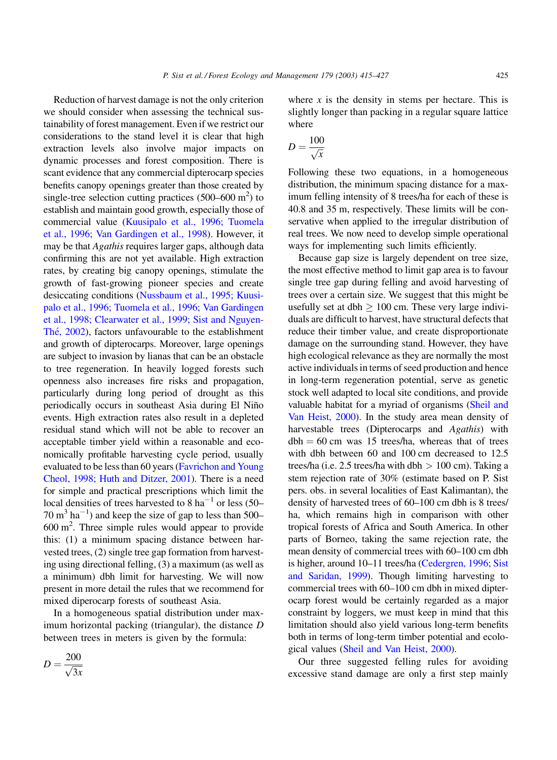Reduction of harvest damage is not the only criterion we should consider when assessing the technical sustainability of forest management. Even if we restrict our considerations to the stand level it is clear that high extraction levels also involve major impacts on dynamic processes and forest composition. There is scant evidence that any commercial dipterocarp species benefits canopy openings greater than those created by single-tree selection cutting practices  $(500-600 \text{ m}^2)$  to establish and maintain good growth, especially those of commercial value ([Kuusipalo et al., 1996; Tuomela](#page-12-0) [et al., 1996; Van Gardingen et al., 1998](#page-12-0)). However, it may be that Agathis requires larger gaps, although data confirming this are not yet available. High extraction rates, by creating big canopy openings, stimulate the growth of fast-growing pioneer species and create desiccating conditions ([Nussbaum et al., 1995; Kuusi](#page-12-0)[palo et al., 1996; Tuomela et al., 1996; Van Gardingen](#page-12-0) [et al., 1998; Clearwater et al., 1999; Sist and Nguyen-](#page-12-0)Thé, 2002), factors unfavourable to the establishment and growth of dipterocarps. Moreover, large openings are subject to invasion by lianas that can be an obstacle to tree regeneration. In heavily logged forests such openness also increases fire risks and propagation, particularly during long period of drought as this periodically occurs in southeast Asia during El Niño events. High extraction rates also result in a depleted residual stand which will not be able to recover an acceptable timber yield within a reasonable and economically profitable harvesting cycle period, usually evaluated to be less than 60 years ([Favrichon and Young](#page-11-0) [Cheol, 1998; Huth and Ditzer, 2001\)](#page-11-0). There is a need for simple and practical prescriptions which limit the local densities of trees harvested to 8 ha<sup> $-1$ </sup> or less (50–  $70 \text{ m}^3 \text{ ha}^{-1}$ ) and keep the size of gap to less than 500– 600 m2 . Three simple rules would appear to provide this: (1) a minimum spacing distance between harvested trees, (2) single tree gap formation from harvesting using directional felling, (3) a maximum (as well as a minimum) dbh limit for harvesting. We will now present in more detail the rules that we recommend for mixed diperocarp forests of southeast Asia.

In a homogeneous spatial distribution under maximum horizontal packing (triangular), the distance D between trees in meters is given by the formula:

 $D = \frac{200}{\sqrt{3x}}$ 

where  $x$  is the density in stems per hectare. This is slightly longer than packing in a regular square lattice where

$$
D = \frac{100}{\sqrt{x}}
$$

Following these two equations, in a homogeneous distribution, the minimum spacing distance for a maximum felling intensity of 8 trees/ha for each of these is 40.8 and 35 m, respectively. These limits will be conservative when applied to the irregular distribution of real trees. We now need to develop simple operational ways for implementing such limits efficiently.

Because gap size is largely dependent on tree size, the most effective method to limit gap area is to favour single tree gap during felling and avoid harvesting of trees over a certain size. We suggest that this might be usefully set at dbh  $\geq 100$  cm. These very large individuals are difficult to harvest, have structural defects that reduce their timber value, and create disproportionate damage on the surrounding stand. However, they have high ecological relevance as they are normally the most active individuals in terms of seed production and hence in long-term regeneration potential, serve as genetic stock well adapted to local site conditions, and provide valuable habitat for a myriad of organisms [\(Sheil and](#page-12-0) [Van Heist, 2000\)](#page-12-0). In the study area mean density of harvestable trees (Dipterocarps and Agathis) with  $dbh = 60$  cm was 15 trees/ha, whereas that of trees with dbh between 60 and 100 cm decreased to 12.5 trees/ha (i.e. 2.5 trees/ha with dbh  $> 100$  cm). Taking a stem rejection rate of 30% (estimate based on P. Sist pers. obs. in several localities of East Kalimantan), the density of harvested trees of 60–100 cm dbh is 8 trees/ ha, which remains high in comparison with other tropical forests of Africa and South America. In other parts of Borneo, taking the same rejection rate, the mean density of commercial trees with 60–100 cm dbh is higher, around 10–11 trees/ha [\(Cedergren, 1996; Sist](#page-11-0) [and Saridan, 1999\)](#page-11-0). Though limiting harvesting to commercial trees with 60–100 cm dbh in mixed dipterocarp forest would be certainly regarded as a major constraint by loggers, we must keep in mind that this limitation should also yield various long-term benefits both in terms of long-term timber potential and ecological values [\(Sheil and Van Heist, 2000\)](#page-12-0).

Our three suggested felling rules for avoiding excessive stand damage are only a first step mainly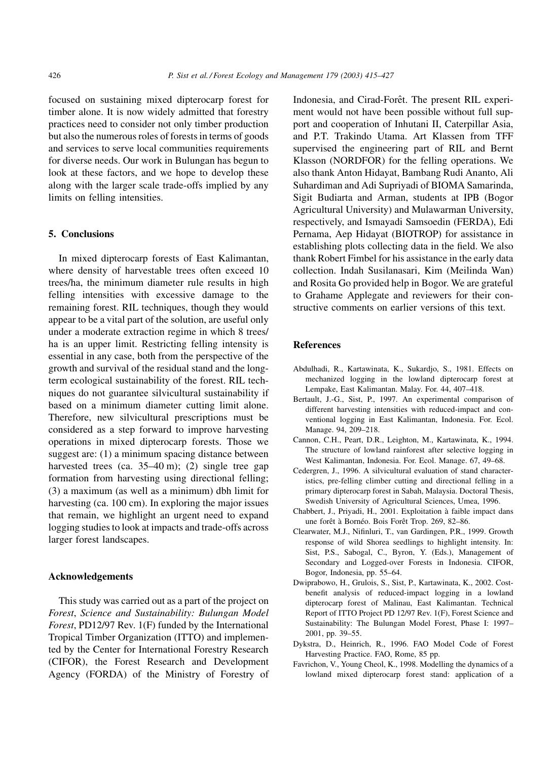<span id="page-11-0"></span>focused on sustaining mixed dipterocarp forest for timber alone. It is now widely admitted that forestry practices need to consider not only timber production but also the numerous roles of forests in terms of goods and services to serve local communities requirements for diverse needs. Our work in Bulungan has begun to look at these factors, and we hope to develop these along with the larger scale trade-offs implied by any limits on felling intensities.

## 5. Conclusions

In mixed dipterocarp forests of East Kalimantan, where density of harvestable trees often exceed 10 trees/ha, the minimum diameter rule results in high felling intensities with excessive damage to the remaining forest. RIL techniques, though they would appear to be a vital part of the solution, are useful only under a moderate extraction regime in which 8 trees/ ha is an upper limit. Restricting felling intensity is essential in any case, both from the perspective of the growth and survival of the residual stand and the longterm ecological sustainability of the forest. RIL techniques do not guarantee silvicultural sustainability if based on a minimum diameter cutting limit alone. Therefore, new silvicultural prescriptions must be considered as a step forward to improve harvesting operations in mixed dipterocarp forests. Those we suggest are: (1) a minimum spacing distance between harvested trees (ca. 35–40 m); (2) single tree gap formation from harvesting using directional felling; (3) a maximum (as well as a minimum) dbh limit for harvesting (ca. 100 cm). In exploring the major issues that remain, we highlight an urgent need to expand logging studies to look at impacts and trade-offs across larger forest landscapes.

#### Acknowledgements

This study was carried out as a part of the project on Forest, Science and Sustainability: Bulungan Model Forest, PD12/97 Rev. 1(F) funded by the International Tropical Timber Organization (ITTO) and implemented by the Center for International Forestry Research (CIFOR), the Forest Research and Development Agency (FORDA) of the Ministry of Forestry of Indonesia, and Cirad-Forêt. The present RIL experiment would not have been possible without full support and cooperation of Inhutani II, Caterpillar Asia, and P.T. Trakindo Utama. Art Klassen from TFF supervised the engineering part of RIL and Bernt Klasson (NORDFOR) for the felling operations. We also thank Anton Hidayat, Bambang Rudi Ananto, Ali Suhardiman and Adi Supriyadi of BIOMA Samarinda, Sigit Budiarta and Arman, students at IPB (Bogor Agricultural University) and Mulawarman University, respectively, and Ismayadi Samsoedin (FERDA), Edi Pernama, Aep Hidayat (BIOTROP) for assistance in establishing plots collecting data in the field. We also thank Robert Fimbel for his assistance in the early data collection. Indah Susilanasari, Kim (Meilinda Wan) and Rosita Go provided help in Bogor. We are grateful to Grahame Applegate and reviewers for their constructive comments on earlier versions of this text.

## References

- Abdulhadi, R., Kartawinata, K., Sukardjo, S., 1981. Effects on mechanized logging in the lowland dipterocarp forest at Lempake, East Kalimantan. Malay. For. 44, 407–418.
- Bertault, J.-G., Sist, P., 1997. An experimental comparison of different harvesting intensities with reduced-impact and conventional logging in East Kalimantan, Indonesia. For. Ecol. Manage. 94, 209–218.
- Cannon, C.H., Peart, D.R., Leighton, M., Kartawinata, K., 1994. The structure of lowland rainforest after selective logging in West Kalimantan, Indonesia. For. Ecol. Manage. 67, 49–68.
- Cedergren, J., 1996. A silvicultural evaluation of stand characteristics, pre-felling climber cutting and directional felling in a primary dipterocarp forest in Sabah, Malaysia. Doctoral Thesis, Swedish University of Agricultural Sciences, Umea, 1996.
- Chabbert, J., Priyadi, H., 2001. Exploitation à faible impact dans une forêt à Bornéo. Bois Forêt Trop. 269, 82-86.
- Clearwater, M.J., Nifinluri, T., van Gardingen, P.R., 1999. Growth response of wild Shorea seedlings to highlight intensity. In: Sist, P.S., Sabogal, C., Byron, Y. (Eds.), Management of Secondary and Logged-over Forests in Indonesia. CIFOR, Bogor, Indonesia, pp. 55–64.
- Dwiprabowo, H., Grulois, S., Sist, P., Kartawinata, K., 2002. Costbenefit analysis of reduced-impact logging in a lowland dipterocarp forest of Malinau, East Kalimantan. Technical Report of ITTO Project PD 12/97 Rev. 1(F), Forest Science and Sustainability: The Bulungan Model Forest, Phase I: 1997– 2001, pp. 39–55.
- Dykstra, D., Heinrich, R., 1996. FAO Model Code of Forest Harvesting Practice. FAO, Rome, 85 pp.
- Favrichon, V., Young Cheol, K., 1998. Modelling the dynamics of a lowland mixed dipterocarp forest stand: application of a